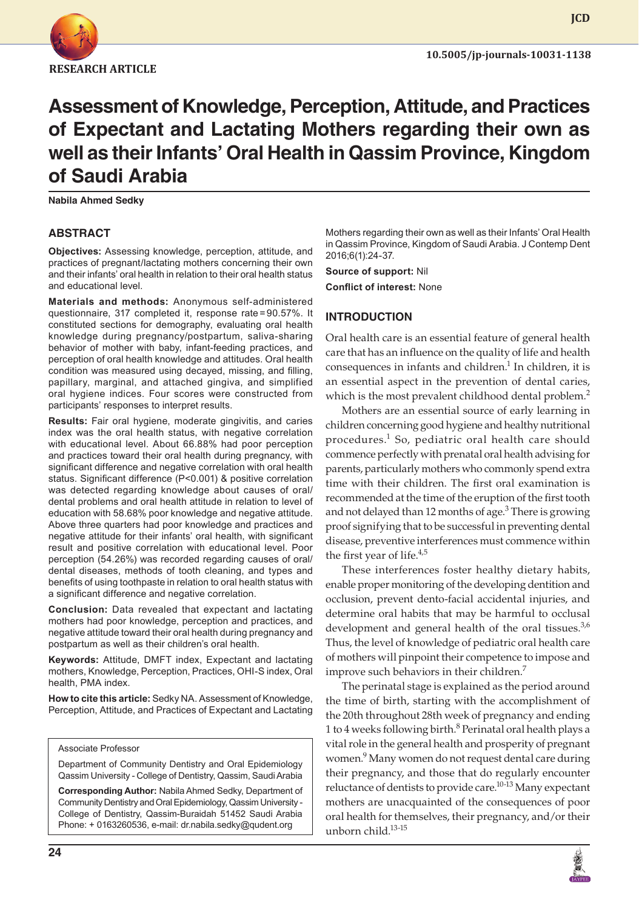

**10.5005/jp-journals-10031-1138**

**JCD**

# **Assessment of Knowledge, Perception, Attitude, and Practices of Expectant and Lactating Mothers regarding their own as well as their Infants' Oral Health in Qassim Province, Kingdom of Saudi Arabia**

**Nabila Ahmed Sedky**

#### **ABSTRACT**

**Objectives:** Assessing knowledge, perception, attitude, and practices of pregnant/lactating mothers concerning their own and their infants' oral health in relation to their oral health status and educational level.

**Materials and methods:** Anonymous self-administered questionnaire, 317 completed it, response rate=90.57%. It constituted sections for demography, evaluating oral health knowledge during pregnancy/postpartum, saliva-sharing behavior of mother with baby, infant-feeding practices, and perception of oral health knowledge and attitudes. Oral health condition was measured using decayed, missing, and filling, papillary, marginal, and attached gingiva, and simplified oral hygiene indices. Four scores were constructed from participants' responses to interpret results.

**Results:** Fair oral hygiene, moderate gingivitis, and caries index was the oral health status, with negative correlation with educational level. About 66.88% had poor perception and practices toward their oral health during pregnancy, with significant difference and negative correlation with oral health status. Significant difference (P<0.001) & positive correlation was detected regarding knowledge about causes of oral/ dental problems and oral health attitude in relation to level of education with 58.68% poor knowledge and negative attitude. Above three quarters had poor knowledge and practices and negative attitude for their infants' oral health, with significant result and positive correlation with educational level. Poor perception (54.26%) was recorded regarding causes of oral/ dental diseases, methods of tooth cleaning, and types and benefits of using toothpaste in relation to oral health status with a significant difference and negative correlation.

**Conclusion:** Data revealed that expectant and lactating mothers had poor knowledge, perception and practices, and negative attitude toward their oral health during pregnancy and postpartum as well as their children's oral health.

**Keywords:** Attitude, DMFT index, Expectant and lactating mothers, Knowledge, Perception, Practices, OHI-S index, Oral health, PMA index.

**How to cite this article:** Sedky NA. Assessment of Knowledge, Perception, Attitude, and Practices of Expectant and Lactating

#### Associate Professor

Department of Community Dentistry and Oral Epidemiology Qassim University - College of Dentistry, Qassim, Saudi Arabia

**Corresponding Author:** Nabila Ahmed Sedky, Department of Community Dentistry and Oral Epidemiology, Qassim University - College of Dentistry, Qassim-Buraidah 51452 Saudi Arabia Phone: + 0163260536, e-mail: dr.nabila.sedky@qudent.org

Mothers regarding their own as well as their Infants' Oral Health in Qassim Province, Kingdom of Saudi Arabia. J Contemp Dent 2016;6(1):24-37.

**Source of support:** Nil **Conflict of interest:** None

#### **INTRODUCTION**

Oral health care is an essential feature of general health care that has an influence on the quality of life and health consequences in infants and children.<sup>1</sup> In children, it is an essential aspect in the prevention of dental caries, which is the most prevalent childhood dental problem.<sup>2</sup>

Mothers are an essential source of early learning in children concerning good hygiene and healthy nutritional procedures.<sup>1</sup> So, pediatric oral health care should commence perfectly with prenatal oral health advising for parents, particularly mothers who commonly spend extra time with their children. The first oral examination is recommended at the time of the eruption of the first tooth and not delayed than 12 months of age. $^3$  There is growing proof signifying that to be successful in preventing dental disease, preventive interferences must commence within the first year of life. $4,5$ 

These interferences foster healthy dietary habits, enable proper monitoring of the developing dentition and occlusion, prevent dento-facial accidental injuries, and determine oral habits that may be harmful to occlusal development and general health of the oral tissues. $3,6$ Thus, the level of knowledge of pediatric oral health care of mothers will pinpoint their competence to impose and improve such behaviors in their children.<sup>7</sup>

The perinatal stage is explained as the period around the time of birth, starting with the accomplishment of the 20th throughout 28th week of pregnancy and ending 1 to 4 weeks following birth.<sup>8</sup> Perinatal oral health plays a vital role in the general health and prosperity of pregnant women.<sup>9</sup> Many women do not request dental care during their pregnancy, and those that do regularly encounter reluctance of dentists to provide care.<sup>10-13</sup> Many expectant mothers are unacquainted of the consequences of poor oral health for themselves, their pregnancy, and/or their unborn child.<sup>13-15</sup>

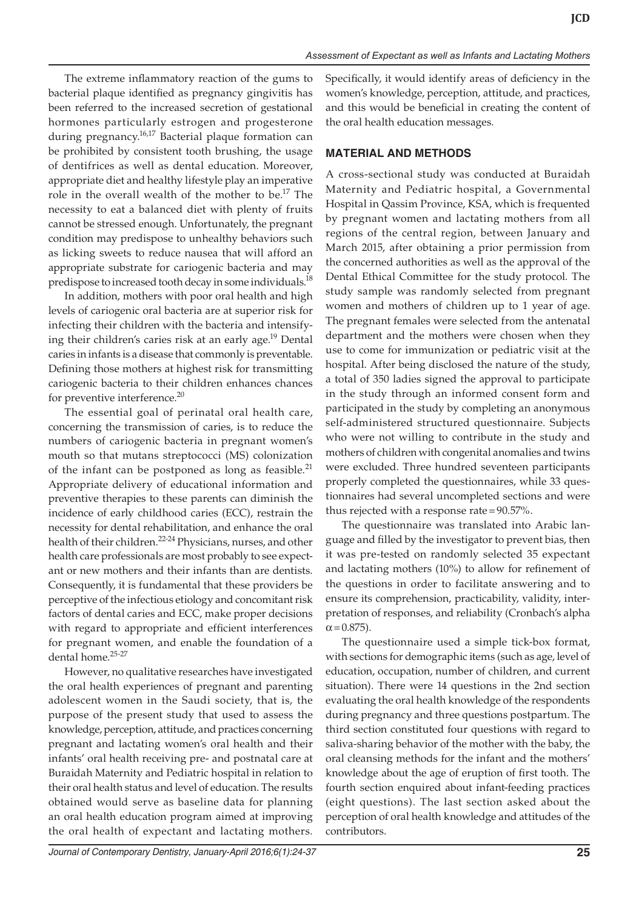The extreme inflammatory reaction of the gums to bacterial plaque identified as pregnancy gingivitis has been referred to the increased secretion of gestational hormones particularly estrogen and progesterone during pregnancy.<sup>16,17</sup> Bacterial plaque formation can be prohibited by consistent tooth brushing, the usage of dentifrices as well as dental education. Moreover, appropriate diet and healthy lifestyle play an imperative role in the overall wealth of the mother to be.<sup>17</sup> The necessity to eat a balanced diet with plenty of fruits cannot be stressed enough. Unfortunately, the pregnant condition may predispose to unhealthy behaviors such as licking sweets to reduce nausea that will afford an appropriate substrate for cariogenic bacteria and may predispose to increased tooth decay in some individuals.<sup>18</sup>

In addition, mothers with poor oral health and high levels of cariogenic oral bacteria are at superior risk for infecting their children with the bacteria and intensifying their children's caries risk at an early age.<sup>19</sup> Dental caries in infants is a disease that commonly is preventable. Defining those mothers at highest risk for transmitting cariogenic bacteria to their children enhances chances for preventive interference.<sup>20</sup>

The essential goal of perinatal oral health care, concerning the transmission of caries, is to reduce the numbers of cariogenic bacteria in pregnant women's mouth so that mutans streptococci (MS) colonization of the infant can be postponed as long as feasible. $^{21}$ Appropriate delivery of educational information and preventive therapies to these parents can diminish the incidence of early childhood caries (ECC), restrain the necessity for dental rehabilitation, and enhance the oral health of their children.<sup>22-24</sup> Physicians, nurses, and other health care professionals are most probably to see expectant or new mothers and their infants than are dentists. Consequently, it is fundamental that these providers be perceptive of the infectious etiology and concomitant risk factors of dental caries and ECC, make proper decisions with regard to appropriate and efficient interferences for pregnant women, and enable the foundation of a dental home.25-27

However, no qualitative researches have investigated the oral health experiences of pregnant and parenting adolescent women in the Saudi society, that is, the purpose of the present study that used to assess the knowledge, perception, attitude, and practices concerning pregnant and lactating women's oral health and their infants' oral health receiving pre- and postnatal care at Buraidah Maternity and Pediatric hospital in relation to their oral health status and level of education. The results obtained would serve as baseline data for planning an oral health education program aimed at improving the oral health of expectant and lactating mothers.

Specifically, it would identify areas of deficiency in the women's knowledge, perception, attitude, and practices, and this would be beneficial in creating the content of the oral health education messages.

## **MATERIAL AND METHODS**

A cross-sectional study was conducted at Buraidah Maternity and Pediatric hospital, a Governmental Hospital in Qassim Province, KSA, which is frequented by pregnant women and lactating mothers from all regions of the central region, between January and March 2015, after obtaining a prior permission from the concerned authorities as well as the approval of the Dental Ethical Committee for the study protocol. The study sample was randomly selected from pregnant women and mothers of children up to 1 year of age. The pregnant females were selected from the antenatal department and the mothers were chosen when they use to come for immunization or pediatric visit at the hospital. After being disclosed the nature of the study, a total of 350 ladies signed the approval to participate in the study through an informed consent form and participated in the study by completing an anonymous self-administered structured questionnaire. Subjects who were not willing to contribute in the study and mothers of children with congenital anomalies and twins were excluded. Three hundred seventeen participants properly completed the questionnaires, while 33 questionnaires had several uncompleted sections and were thus rejected with a response rate=90.57%.

The questionnaire was translated into Arabic language and filled by the investigator to prevent bias, then it was pre-tested on randomly selected 35 expectant and lactating mothers (10%) to allow for refinement of the questions in order to facilitate answering and to ensure its comprehension, practicability, validity, interpretation of responses, and reliability (Cronbach's alpha  $\alpha$  = 0.875).

The questionnaire used a simple tick-box format, with sections for demographic items (such as age, level of education, occupation, number of children, and current situation). There were 14 questions in the 2nd section evaluating the oral health knowledge of the respondents during pregnancy and three questions postpartum. The third section constituted four questions with regard to saliva-sharing behavior of the mother with the baby, the oral cleansing methods for the infant and the mothers' knowledge about the age of eruption of first tooth. The fourth section enquired about infant-feeding practices (eight questions). The last section asked about the perception of oral health knowledge and attitudes of the contributors.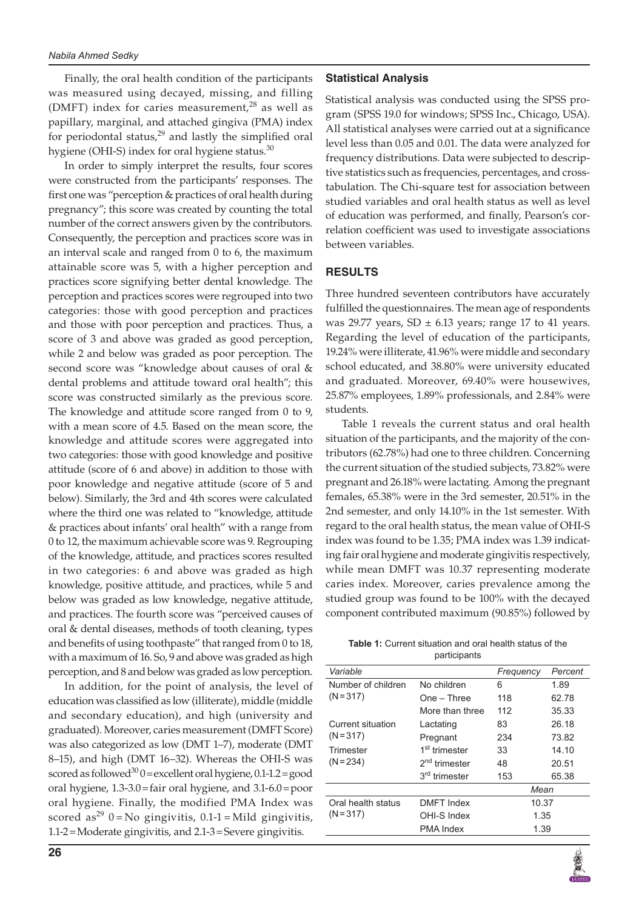Finally, the oral health condition of the participants was measured using decayed, missing, and filling (DMFT) index for caries measurement, $^{28}$  as well as papillary, marginal, and attached gingiva (PMA) index for periodontal status,<sup>29</sup> and lastly the simplified oral hygiene (OHI-S) index for oral hygiene status. $30$ 

In order to simply interpret the results, four scores were constructed from the participants' responses. The first one was "perception & practices of oral health during pregnancy"; this score was created by counting the total number of the correct answers given by the contributors. Consequently, the perception and practices score was in an interval scale and ranged from 0 to 6, the maximum attainable score was 5, with a higher perception and practices score signifying better dental knowledge. The perception and practices scores were regrouped into two categories: those with good perception and practices and those with poor perception and practices. Thus, a score of 3 and above was graded as good perception, while 2 and below was graded as poor perception. The second score was "knowledge about causes of oral & dental problems and attitude toward oral health"; this score was constructed similarly as the previous score. The knowledge and attitude score ranged from 0 to 9, with a mean score of 4.5. Based on the mean score, the knowledge and attitude scores were aggregated into two categories: those with good knowledge and positive attitude (score of 6 and above) in addition to those with poor knowledge and negative attitude (score of 5 and below). Similarly, the 3rd and 4th scores were calculated where the third one was related to "knowledge, attitude & practices about infants' oral health" with a range from 0 to 12, the maximum achievable score was 9. Regrouping of the knowledge, attitude, and practices scores resulted in two categories: 6 and above was graded as high knowledge, positive attitude, and practices, while 5 and below was graded as low knowledge, negative attitude, and practices. The fourth score was "perceived causes of oral & dental diseases, methods of tooth cleaning, types and benefits of using toothpaste" that ranged from 0 to 18, with a maximum of 16. So, 9 and above was graded as high perception, and 8 and below was graded as low perception.

In addition, for the point of analysis, the level of education was classified as low (illiterate), middle (middle and secondary education), and high (university and graduated). Moreover, caries measurement (DMFT Score) was also categorized as low (DMT 1–7), moderate (DMT 8–15), and high (DMT 16–32). Whereas the OHI-S was scored as followed<sup>30</sup> 0 = excellent oral hygiene,  $0.1$ -1.2 = good oral hygiene, 1.3-3.0=fair oral hygiene, and 3.1-6.0=poor oral hygiene. Finally, the modified PMA Index was scored as<sup>29</sup> 0 = No gingivitis,  $0.1$ -1 = Mild gingivitis, 1.1-2=Moderate gingivitis, and 2.1-3=Severe gingivitis.

#### **Statistical Analysis**

Statistical analysis was conducted using the SPSS program (SPSS 19.0 for windows; SPSS Inc., Chicago, USA). All statistical analyses were carried out at a significance level less than 0.05 and 0.01. The data were analyzed for frequency distributions. Data were subjected to descriptive statistics such as frequencies, percentages, and crosstabulation. The Chi-square test for association between studied variables and oral health status as well as level of education was performed, and finally, Pearson's correlation coefficient was used to investigate associations between variables.

#### **RESULTS**

Three hundred seventeen contributors have accurately fulfilled the questionnaires. The mean age of respondents was 29.77 years, SD  $\pm$  6.13 years; range 17 to 41 years. Regarding the level of education of the participants, 19.24% were illiterate, 41.96% were middle and secondary school educated, and 38.80% were university educated and graduated. Moreover, 69.40% were housewives, 25.87% employees, 1.89% professionals, and 2.84% were students.

Table 1 reveals the current status and oral health situation of the participants, and the majority of the contributors (62.78%) had one to three children. Concerning the current situation of the studied subjects, 73.82% were pregnant and 26.18% were lactating. Among the pregnant females, 65.38% were in the 3rd semester, 20.51% in the 2nd semester, and only 14.10% in the 1st semester. With regard to the oral health status, the mean value of OHI-S index was found to be 1.35; PMA index was 1.39 indicating fair oral hygiene and moderate gingivitis respectively, while mean DMFT was 10.37 representing moderate caries index. Moreover, caries prevalence among the studied group was found to be 100% with the decayed component contributed maximum (90.85%) followed by

| <b>Table 1:</b> Current situation and oral health status of the |
|-----------------------------------------------------------------|
| participants                                                    |

| Variable                         |                           | Frequency | Percent |
|----------------------------------|---------------------------|-----------|---------|
| Number of children               | No children               | 6         | 1.89    |
| $(N = 317)$                      | One – Three               | 118       | 62.78   |
|                                  | More than three           | 112       | 35.33   |
| Current situation<br>$(N = 317)$ | Lactating                 | 83        | 26.18   |
|                                  | Pregnant                  | 234       | 73.82   |
| Trimester                        | 1 <sup>st</sup> trimester | 33        | 14.10   |
| $(N = 234)$                      | 2 <sup>nd</sup> trimester | 48        | 20.51   |
|                                  | 3 <sup>rd</sup> trimester | 153       | 65.38   |
|                                  |                           | Mean      |         |
| Oral health status               | <b>DMFT</b> Index         | 10.37     |         |
| $(N = 317)$                      | OHI-S Index               | 1.35      |         |
|                                  | <b>PMA Index</b>          | 1.39      |         |
|                                  |                           |           |         |

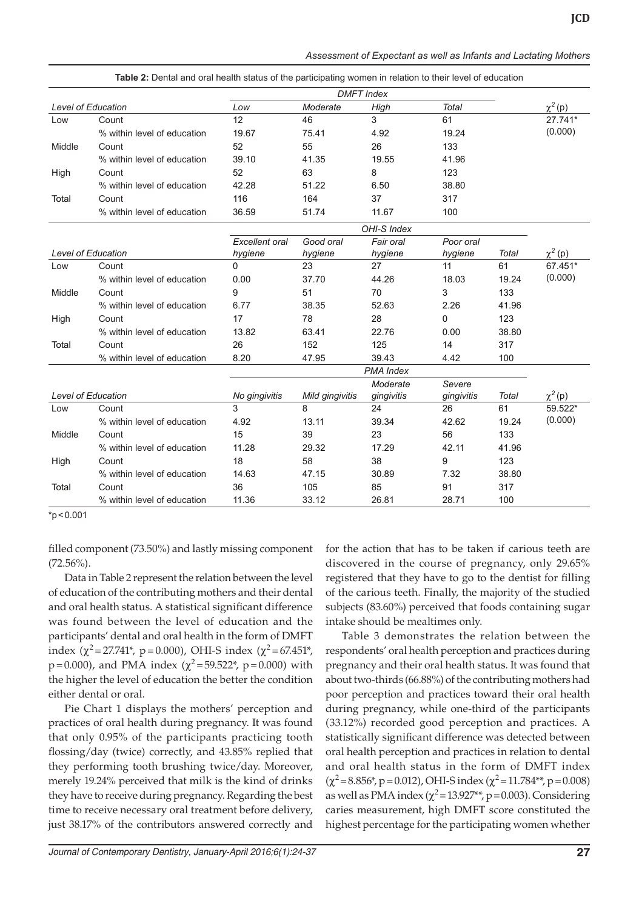| Assessment of Expectant as well as Infants and Lactating Mothers |  |  |
|------------------------------------------------------------------|--|--|
|                                                                  |  |  |

|        | <b>DMFT</b> Index           |                       |                 |                  |              |              |              |
|--------|-----------------------------|-----------------------|-----------------|------------------|--------------|--------------|--------------|
|        | <b>Level of Education</b>   | Low                   | Moderate        | High             | <b>Total</b> |              | $\chi^2(p)$  |
| Low    | Count                       | 12                    | 46              | 3                | 61           |              | 27.741*      |
|        | % within level of education | 19.67                 | 75.41           | 4.92             | 19.24        |              | (0.000)      |
| Middle | Count                       | 52                    | 55              | 26               | 133          |              |              |
|        | % within level of education | 39.10                 | 41.35           | 19.55            | 41.96        |              |              |
| High   | Count                       | 52                    | 63              | 8                | 123          |              |              |
|        | % within level of education | 42.28                 | 51.22           | 6.50             | 38.80        |              |              |
| Total  | Count                       | 116                   | 164             | 37               | 317          |              |              |
|        | % within level of education | 36.59                 | 51.74           | 11.67            | 100          |              |              |
|        |                             |                       |                 | OHI-S Index      |              |              |              |
|        |                             | <b>Excellent</b> oral | Good oral       | Fair oral        | Poor oral    |              |              |
|        | <b>Level of Education</b>   | hygiene               | hygiene         | hygiene          | hygiene      | <b>Total</b> | $\chi^2$ (p) |
| Low    | Count                       | 0                     | 23              | 27               | 11           | 61           | 67.451*      |
|        | % within level of education | 0.00                  | 37.70           | 44.26            | 18.03        | 19.24        | (0.000)      |
| Middle | Count                       | 9                     | 51              | 70               | 3            | 133          |              |
|        | % within level of education | 6.77                  | 38.35           | 52.63            | 2.26         | 41.96        |              |
| High   | Count                       | 17                    | 78              | 28               | 0            | 123          |              |
|        | % within level of education | 13.82                 | 63.41           | 22.76            | 0.00         | 38.80        |              |
| Total  | Count                       | 26                    | 152             | 125              | 14           | 317          |              |
|        | % within level of education | 8.20                  | 47.95           | 39.43            | 4.42         | 100          |              |
|        |                             |                       |                 | <b>PMA</b> Index |              |              |              |
|        |                             |                       |                 | Moderate         | Severe       |              |              |
|        | <b>Level of Education</b>   | No gingivitis         | Mild gingivitis | gingivitis       | gingivitis   | Total        | $\chi^2(p)$  |
| Low    | Count                       | 3                     | 8               | 24               | 26           | 61           | 59.522*      |
|        | % within level of education | 4.92                  | 13.11           | 39.34            | 42.62        | 19.24        | (0.000)      |
| Middle | Count                       | 15                    | 39              | 23               | 56           | 133          |              |
|        | % within level of education | 11.28                 | 29.32           | 17.29            | 42.11        | 41.96        |              |
| High   | Count                       | 18                    | 58              | 38               | 9            | 123          |              |
|        | % within level of education | 14.63                 | 47.15           | 30.89            | 7.32         | 38.80        |              |
| Total  | Count                       | 36                    | 105             | 85               | 91           | 317          |              |
|        | % within level of education | 11.36                 | 33.12           | 26.81            | 28.71        | 100          |              |

**Table 2:** Dental and oral health status of the participating women in relation to their level of education

 $*p < 0.001$ 

filled component (73.50%) and lastly missing component  $(72.56\%)$ .

Data in Table 2 represent the relation between the level of education of the contributing mothers and their dental and oral health status. A statistical significant difference was found between the level of education and the participants' dental and oral health in the form of DMFT index ( $\chi^2$ =27.741<sup>\*</sup>, p=0.000), OHI-S index ( $\chi^2$ =67.451<sup>\*</sup>,  $p=0.000$ ), and PMA index ( $\chi^2 = 59.522$ <sup>\*</sup>,  $p=0.000$ ) with the higher the level of education the better the condition either dental or oral.

Pie Chart 1 displays the mothers' perception and practices of oral health during pregnancy. It was found that only 0.95% of the participants practicing tooth flossing/day (twice) correctly, and 43.85% replied that they performing tooth brushing twice/day. Moreover, merely 19.24% perceived that milk is the kind of drinks they have to receive during pregnancy. Regarding the best time to receive necessary oral treatment before delivery, just 38.17% of the contributors answered correctly and for the action that has to be taken if carious teeth are discovered in the course of pregnancy, only 29.65% registered that they have to go to the dentist for filling of the carious teeth. Finally, the majority of the studied subjects (83.60%) perceived that foods containing sugar intake should be mealtimes only.

Table 3 demonstrates the relation between the respondents' oral health perception and practices during pregnancy and their oral health status. It was found that about two-thirds (66.88%) of the contributing mothers had poor perception and practices toward their oral health during pregnancy, while one-third of the participants (33.12%) recorded good perception and practices. A statistically significant difference was detected between oral health perception and practices in relation to dental and oral health status in the form of DMFT index  $(\chi^2=8.856^*$ , p = 0.012), OHI-S index ( $\chi^2=11.784^{**}$ , p = 0.008) as well as PMA index  $(\chi^2 = 13.927^{**}, p = 0.003)$ . Considering caries measurement, high DMFT score constituted the highest percentage for the participating women whether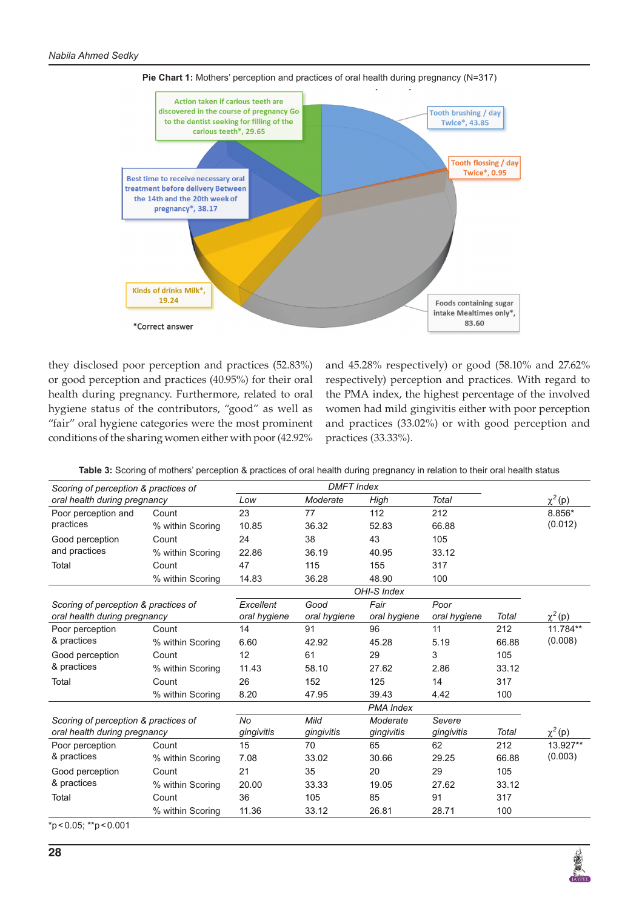

**Pie Chart 1:** Mothers' perception and practices of oral health during pregnancy (N=317)

they disclosed poor perception and practices (52.83%) or good perception and practices (40.95%) for their oral health during pregnancy. Furthermore, related to oral hygiene status of the contributors, "good" as well as "fair" oral hygiene categories were the most prominent conditions of the sharing women either with poor (42.92%

and 45.28% respectively) or good (58.10% and 27.62% respectively) perception and practices. With regard to the PMA index, the highest percentage of the involved women had mild gingivitis either with poor perception and practices (33.02%) or with good perception and practices (33.33%).

| Scoring of perception & practices of |                  |              | <b>DMFT</b> Index |                  |              |       |             |
|--------------------------------------|------------------|--------------|-------------------|------------------|--------------|-------|-------------|
| oral health during pregnancy         |                  | Low          | Moderate          | High             | <b>Total</b> |       | $\chi^2(p)$ |
| Poor perception and                  | Count            | 23           | 77                | 112              | 212          |       | 8.856*      |
| practices                            | % within Scoring | 10.85        | 36.32             | 52.83            | 66.88        |       | (0.012)     |
| Good perception                      | Count            | 24           | 38                | 43               | 105          |       |             |
| and practices                        | % within Scoring | 22.86        | 36.19             | 40.95            | 33.12        |       |             |
| Total                                | Count            | 47           | 115               | 155              | 317          |       |             |
|                                      | % within Scoring | 14.83        | 36.28             | 48.90            | 100          |       |             |
|                                      | OHI-S Index      |              |                   |                  |              |       |             |
| Scoring of perception & practices of |                  | Excellent    | Good              | Fair             | Poor         |       |             |
| oral health during pregnancy         |                  | oral hygiene | oral hygiene      | oral hygiene     | oral hygiene | Total | $\chi^2(p)$ |
| Poor perception                      | Count            | 14           | 91                | 96               | 11           | 212   | 11.784**    |
| & practices                          | % within Scoring | 6.60         | 42.92             | 45.28            | 5.19         | 66.88 | (0.008)     |
| Good perception                      | Count            | 12           | 61                | 29               | 3            | 105   |             |
| & practices                          | % within Scoring | 11.43        | 58.10             | 27.62            | 2.86         | 33.12 |             |
| Total                                | Count            | 26           | 152               | 125              | 14           | 317   |             |
|                                      | % within Scoring | 8.20         | 47.95             | 39.43            | 4.42         | 100   |             |
|                                      |                  |              |                   | <b>PMA Index</b> |              |       |             |
| Scoring of perception & practices of |                  | <b>No</b>    | Mild              | Moderate         | Severe       |       |             |
| oral health during pregnancy         |                  | gingivitis   | gingivitis        | gingivitis       | gingivitis   | Total | $\chi^2(p)$ |
| Poor perception                      | Count            | 15           | 70                | 65               | 62           | 212   | 13.927**    |
| & practices                          | % within Scoring | 7.08         | 33.02             | 30.66            | 29.25        | 66.88 | (0.003)     |
| Good perception                      | Count            | 21           | 35                | 20               | 29           | 105   |             |
| & practices                          | % within Scoring | 20.00        | 33.33             | 19.05            | 27.62        | 33.12 |             |
| Total                                | Count            | 36           | 105               | 85               | 91           | 317   |             |
|                                      | % within Scoring | 11.36        | 33.12             | 26.81            | 28.71        | 100   |             |

\*p<0.05; \*\*p<0.001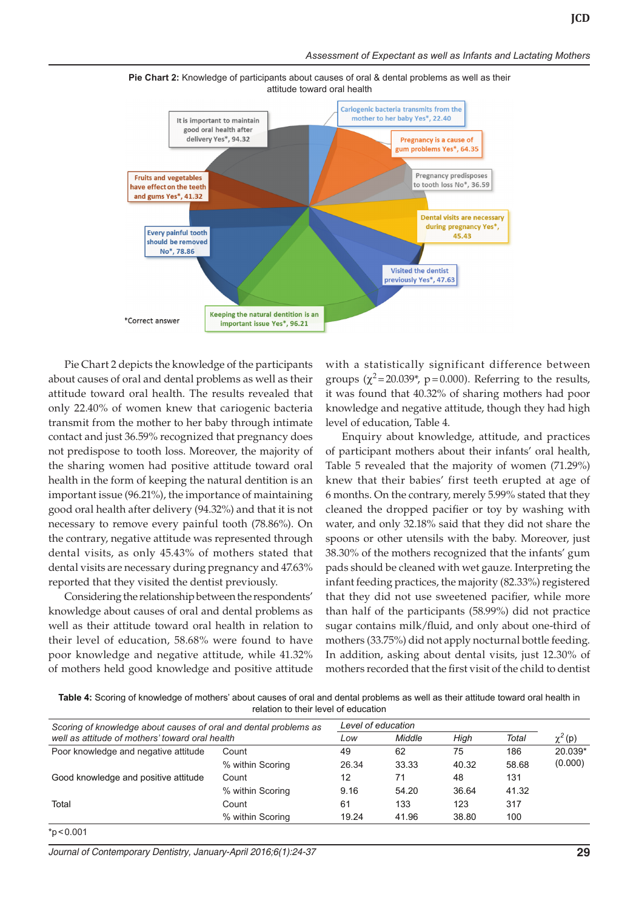

**Pie Chart 2:** Knowledge of participants about causes of oral & dental problems as well as their attitude toward oral health

Pie Chart 2 depicts the knowledge of the participants about causes of oral and dental problems as well as their attitude toward oral health. The results revealed that only 22.40% of women knew that cariogenic bacteria transmit from the mother to her baby through intimate contact and just 36.59% recognized that pregnancy does not predispose to tooth loss. Moreover, the majority of the sharing women had positive attitude toward oral health in the form of keeping the natural dentition is an important issue (96.21%), the importance of maintaining good oral health after delivery (94.32%) and that it is not necessary to remove every painful tooth (78.86%). On the contrary, negative attitude was represented through dental visits, as only 45.43% of mothers stated that dental visits are necessary during pregnancy and 47.63% reported that they visited the dentist previously.

Considering the relationship between the respondents' knowledge about causes of oral and dental problems as well as their attitude toward oral health in relation to their level of education, 58.68% were found to have poor knowledge and negative attitude, while 41.32% of mothers held good knowledge and positive attitude

with a statistically significant difference between groups  $(\chi^2 = 20.039^*)$ , p=0.000). Referring to the results, it was found that 40.32% of sharing mothers had poor knowledge and negative attitude, though they had high level of education, Table 4.

Enquiry about knowledge, attitude, and practices of participant mothers about their infants' oral health, Table 5 revealed that the majority of women (71.29%) knew that their babies' first teeth erupted at age of 6 months. On the contrary, merely 5.99% stated that they cleaned the dropped pacifier or toy by washing with water, and only 32.18% said that they did not share the spoons or other utensils with the baby. Moreover, just 38.30% of the mothers recognized that the infants' gum pads should be cleaned with wet gauze. Interpreting the infant feeding practices, the majority (82.33%) registered that they did not use sweetened pacifier, while more than half of the participants (58.99%) did not practice sugar contains milk/fluid, and only about one-third of mothers (33.75%) did not apply nocturnal bottle feeding. In addition, asking about dental visits, just 12.30% of mothers recorded that the first visit of the child to dentist

**Table 4:** Scoring of knowledge of mothers' about causes of oral and dental problems as well as their attitude toward oral health in relation to their level of education

| Scoring of knowledge about causes of oral and dental problems as<br>well as attitude of mothers' toward oral health |                  | Level of education |        |       |       |             |
|---------------------------------------------------------------------------------------------------------------------|------------------|--------------------|--------|-------|-------|-------------|
|                                                                                                                     |                  | Low                | Middle | High  | Total | $\chi^2(p)$ |
| Poor knowledge and negative attitude                                                                                | Count            | 49                 | 62     | 75    | 186   | 20.039*     |
|                                                                                                                     | % within Scoring | 26.34              | 33.33  | 40.32 | 58.68 | (0.000)     |
| Good knowledge and positive attitude                                                                                | Count            | 12                 | 71     | 48    | 131   |             |
|                                                                                                                     | % within Scoring | 9.16               | 54.20  | 36.64 | 41.32 |             |
| Total                                                                                                               | Count            | 61                 | 133    | 123   | 317   |             |
|                                                                                                                     | % within Scoring | 19.24              | 41.96  | 38.80 | 100   |             |

 $*p < 0.001$ 

*Journal of Contemporary Dentistry, January-April 2016;6(1):24-37* **29**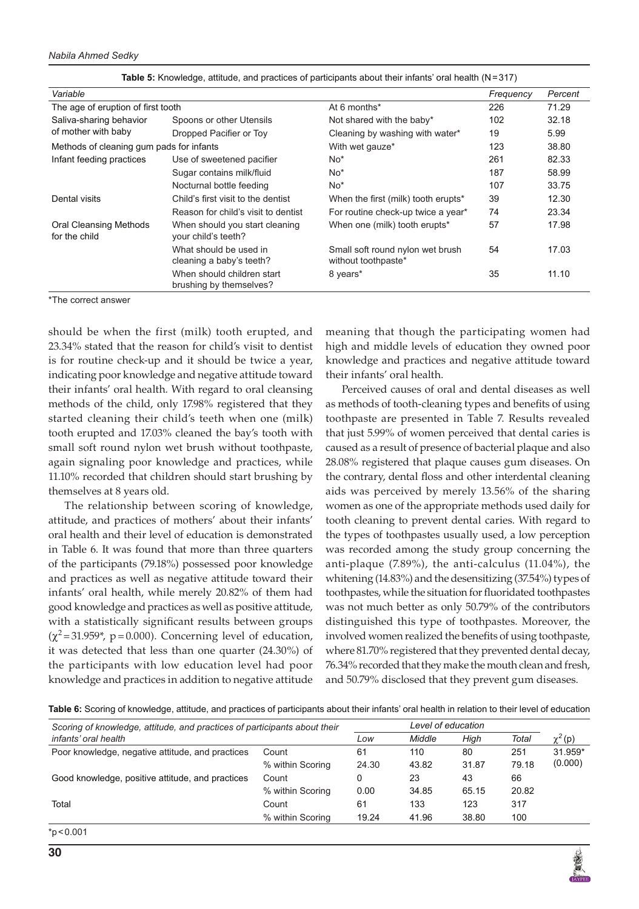*Nabila Ahmed Sedky*

| Variable                                       |                                                       |                                                         | Frequency | Percent |
|------------------------------------------------|-------------------------------------------------------|---------------------------------------------------------|-----------|---------|
| The age of eruption of first tooth             |                                                       | At 6 months*                                            | 226       | 71.29   |
| Saliva-sharing behavior                        | Spoons or other Utensils                              | Not shared with the baby*                               | 102       | 32.18   |
| of mother with baby                            | Dropped Pacifier or Toy                               | Cleaning by washing with water*                         | 19        | 5.99    |
| Methods of cleaning gum pads for infants       |                                                       | With wet gauze*                                         | 123       | 38.80   |
| Infant feeding practices                       | Use of sweetened pacifier                             | $No*$                                                   | 261       | 82.33   |
|                                                | Sugar contains milk/fluid                             | $No*$                                                   | 187       | 58.99   |
|                                                | Nocturnal bottle feeding                              | $No*$                                                   | 107       | 33.75   |
| Dental visits                                  | Child's first visit to the dentist                    | When the first (milk) tooth erupts*                     | 39        | 12.30   |
|                                                | Reason for child's visit to dentist                   | For routine check-up twice a year*                      | 74        | 23.34   |
| <b>Oral Cleansing Methods</b><br>for the child | When should you start cleaning<br>your child's teeth? | When one (milk) tooth erupts*                           | 57        | 17.98   |
|                                                | What should be used in<br>cleaning a baby's teeth?    | Small soft round nylon wet brush<br>without toothpaste* | 54        | 17.03   |
|                                                | When should children start<br>brushing by themselves? | 8 years*                                                | 35        | 11.10   |

\*The correct answer

should be when the first (milk) tooth erupted, and 23.34% stated that the reason for child's visit to dentist is for routine check-up and it should be twice a year, indicating poor knowledge and negative attitude toward their infants' oral health. With regard to oral cleansing methods of the child, only 17.98% registered that they started cleaning their child's teeth when one (milk) tooth erupted and 17.03% cleaned the bay's tooth with small soft round nylon wet brush without toothpaste, again signaling poor knowledge and practices, while 11.10% recorded that children should start brushing by themselves at 8 years old.

The relationship between scoring of knowledge, attitude, and practices of mothers' about their infants' oral health and their level of education is demonstrated in Table 6. It was found that more than three quarters of the participants (79.18%) possessed poor knowledge and practices as well as negative attitude toward their infants' oral health, while merely 20.82% of them had good knowledge and practices as well as positive attitude, with a statistically significant results between groups  $(\chi^2$ =31.959\*, p=0.000). Concerning level of education, it was detected that less than one quarter (24.30%) of the participants with low education level had poor knowledge and practices in addition to negative attitude

meaning that though the participating women had high and middle levels of education they owned poor knowledge and practices and negative attitude toward their infants' oral health.

Perceived causes of oral and dental diseases as well as methods of tooth-cleaning types and benefits of using toothpaste are presented in Table 7. Results revealed that just 5.99% of women perceived that dental caries is caused as a result of presence of bacterial plaque and also 28.08% registered that plaque causes gum diseases. On the contrary, dental floss and other interdental cleaning aids was perceived by merely 13.56% of the sharing women as one of the appropriate methods used daily for tooth cleaning to prevent dental caries. With regard to the types of toothpastes usually used, a low perception was recorded among the study group concerning the anti-plaque (7.89%), the anti-calculus (11.04%), the whitening (14.83%) and the desensitizing (37.54%) types of toothpastes, while the situation for fluoridated toothpastes was not much better as only 50.79% of the contributors distinguished this type of toothpastes. Moreover, the involved women realized the benefits of using toothpaste, where 81.70% registered that they prevented dental decay, 76.34% recorded that they make the mouth clean and fresh, and 50.79% disclosed that they prevent gum diseases.

**Table 6:** Scoring of knowledge, attitude, and practices of participants about their infants' oral health in relation to their level of education

| Scoring of knowledge, attitude, and practices of participants about their |                  |       | Level of education |       |       |             |
|---------------------------------------------------------------------------|------------------|-------|--------------------|-------|-------|-------------|
| infants' oral health                                                      |                  | Low   | Middle             | High  | Total | $\chi^2(p)$ |
| Poor knowledge, negative attitude, and practices                          | Count            | 61    | 110                | 80    | 251   | $31.959*$   |
|                                                                           | % within Scoring | 24.30 | 43.82              | 31.87 | 79.18 | (0.000)     |
| Good knowledge, positive attitude, and practices                          | Count            | 0     | 23                 | 43    | 66    |             |
|                                                                           | % within Scoring | 0.00  | 34.85              | 65.15 | 20.82 |             |
| Total                                                                     | Count            | 61    | 133                | 123   | 317   |             |
|                                                                           | % within Scoring | 19.24 | 41.96              | 38.80 | 100   |             |

\*p<0.001

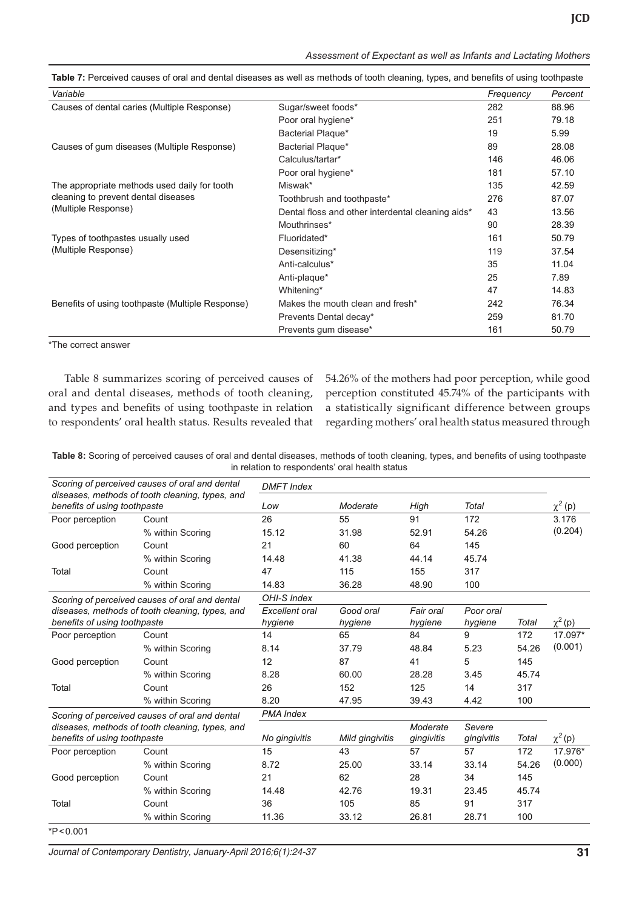| Assessment of Expectant as well as Infants and Lactating Mothers |  |  |
|------------------------------------------------------------------|--|--|

| Variable                                                   |                                                   | Frequency | Percent |
|------------------------------------------------------------|---------------------------------------------------|-----------|---------|
| Causes of dental caries (Multiple Response)                | Sugar/sweet foods*                                | 282       | 88.96   |
|                                                            | Poor oral hygiene*                                | 251       | 79.18   |
|                                                            | Bacterial Plaque*                                 | 19        | 5.99    |
| Causes of gum diseases (Multiple Response)                 | Bacterial Plaque*                                 | 89        | 28.08   |
|                                                            | Calculus/tartar*                                  | 146       | 46.06   |
|                                                            | Poor oral hygiene*                                | 181       | 57.10   |
| The appropriate methods used daily for tooth               | Miswak*                                           | 135       | 42.59   |
| cleaning to prevent dental diseases<br>(Multiple Response) | Toothbrush and toothpaste*                        | 276       | 87.07   |
|                                                            | Dental floss and other interdental cleaning aids* | 43        | 13.56   |
|                                                            | Mouthrinses*                                      | 90        | 28.39   |
| Types of toothpastes usually used                          | Fluoridated*                                      | 161       | 50.79   |
| (Multiple Response)                                        | Desensitizing*                                    | 119       | 37.54   |
|                                                            | Anti-calculus*                                    | 35        | 11.04   |
|                                                            | Anti-plaque*                                      | 25        | 7.89    |
|                                                            | Whitening*                                        | 47        | 14.83   |
| Benefits of using toothpaste (Multiple Response)           | Makes the mouth clean and fresh*                  | 242       | 76.34   |
|                                                            | Prevents Dental decay*                            | 259       | 81.70   |
|                                                            | Prevents gum disease*                             | 161       | 50.79   |

**Table 7:** Perceived causes of oral and dental diseases as well as methods of tooth cleaning, types, and benefits of using toothpaste

\*The correct answer

Table 8 summarizes scoring of perceived causes of oral and dental diseases, methods of tooth cleaning, and types and benefits of using toothpaste in relation to respondents' oral health status. Results revealed that

54.26% of the mothers had poor perception, while good perception constituted 45.74% of the participants with a statistically significant difference between groups regarding mothers' oral health status measured through

**Table 8:** Scoring of perceived causes of oral and dental diseases, methods of tooth cleaning, types, and benefits of using toothpaste in relation to respondents' oral health status

|                              | Scoring of perceived causes of oral and dental  | <b>DMFT</b> Index     |                 |                        |                      |       |              |
|------------------------------|-------------------------------------------------|-----------------------|-----------------|------------------------|----------------------|-------|--------------|
| benefits of using toothpaste | diseases, methods of tooth cleaning, types, and | Low                   | Moderate        | High                   | Total                |       | $\chi^2$ (p) |
| Poor perception              | Count                                           | 26                    | 55              | 91                     | 172                  |       | 3.176        |
|                              | % within Scoring                                | 15.12                 | 31.98           | 52.91                  | 54.26                |       | (0.204)      |
| Good perception              | Count                                           | 21                    | 60              | 64                     | 145                  |       |              |
|                              | % within Scoring                                | 14.48                 | 41.38           | 44.14                  | 45.74                |       |              |
| Total                        | Count                                           | 47                    | 115             | 155                    | 317                  |       |              |
|                              | % within Scoring                                | 14.83                 | 36.28           | 48.90                  | 100                  |       |              |
|                              | Scoring of perceived causes of oral and dental  | OHI-S Index           |                 |                        |                      |       |              |
|                              | diseases, methods of tooth cleaning, types, and | <b>Excellent</b> oral | Good oral       | Fair oral              | Poor oral            |       |              |
| benefits of using toothpaste |                                                 | hygiene               | hygiene         | hygiene                | hygiene              | Total | $\chi^2(p)$  |
| Poor perception              | Count                                           | 14                    | 65              | 84                     | 9                    | 172   | 17.097*      |
|                              | % within Scoring                                | 8.14                  | 37.79           | 48.84                  | 5.23                 | 54.26 | (0.001)      |
| Good perception              | Count                                           | 12                    | 87              | 41                     | 5                    | 145   |              |
|                              | % within Scoring                                | 8.28                  | 60.00           | 28.28                  | 3.45                 | 45.74 |              |
| Total                        | Count                                           | 26                    | 152             | 125                    | 14                   | 317   |              |
|                              | % within Scoring                                | 8.20                  | 47.95           | 39.43                  | 4.42                 | 100   |              |
|                              | Scoring of perceived causes of oral and dental  | <b>PMA</b> Index      |                 |                        |                      |       |              |
| benefits of using toothpaste | diseases, methods of tooth cleaning, types, and | No gingivitis         | Mild gingivitis | Moderate<br>gingivitis | Severe<br>gingivitis | Total | $\chi^2(p)$  |
| Poor perception              | Count                                           | 15                    | 43              | 57                     | 57                   | 172   | 17.976*      |
|                              | % within Scoring                                | 8.72                  | 25.00           | 33.14                  | 33.14                | 54.26 | (0.000)      |
| Good perception              | Count                                           | 21                    | 62              | 28                     | 34                   | 145   |              |
|                              | % within Scoring                                | 14.48                 | 42.76           | 19.31                  | 23.45                | 45.74 |              |
| Total                        | Count                                           | 36                    | 105             | 85                     | 91                   | 317   |              |
|                              | % within Scoring                                | 11.36                 | 33.12           | 26.81                  | 28.71                | 100   |              |

\*P<0.001

*Journal of Contemporary Dentistry, January-April 2016;6(1):24-37* **31**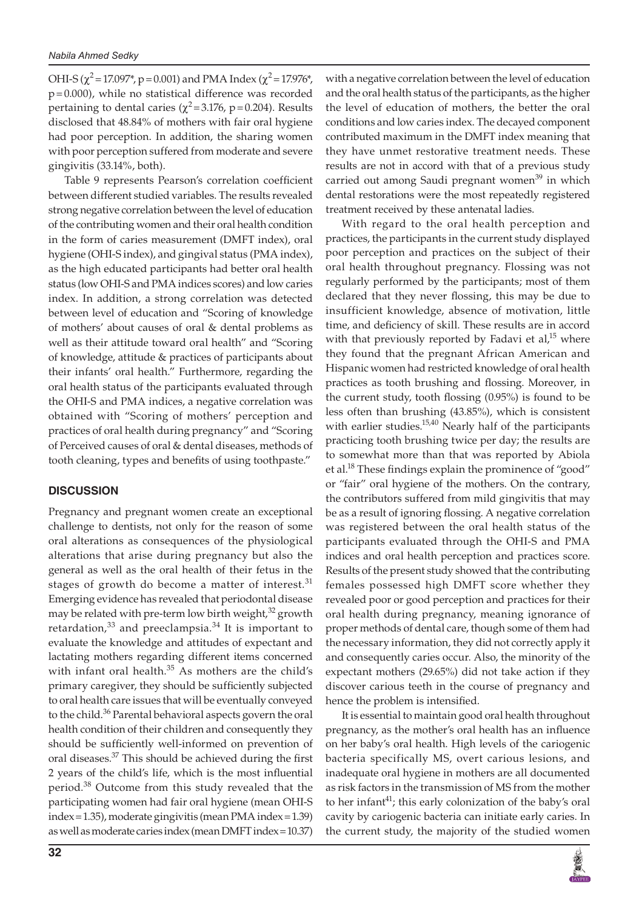OHI-S ( $\chi^2$  = 17.097<sup>\*</sup>, p = 0.001) and PMA Index ( $\chi^2$  = 17.976<sup>\*</sup>, p=0.000), while no statistical difference was recorded pertaining to dental caries ( $\chi^2$ =3.176, p=0.204). Results disclosed that 48.84% of mothers with fair oral hygiene had poor perception. In addition, the sharing women with poor perception suffered from moderate and severe gingivitis (33.14%, both).

Table 9 represents Pearson's correlation coefficient between different studied variables. The results revealed strong negative correlation between the level of education of the contributing women and their oral health condition in the form of caries measurement (DMFT index), oral hygiene (OHI-S index), and gingival status (PMA index), as the high educated participants had better oral health status (low OHI-S and PMA indices scores) and low caries index. In addition, a strong correlation was detected between level of education and "Scoring of knowledge of mothers' about causes of oral & dental problems as well as their attitude toward oral health" and "Scoring of knowledge, attitude & practices of participants about their infants' oral health." Furthermore, regarding the oral health status of the participants evaluated through the OHI-S and PMA indices, a negative correlation was obtained with "Scoring of mothers' perception and practices of oral health during pregnancy" and "Scoring of Perceived causes of oral & dental diseases, methods of tooth cleaning, types and benefits of using toothpaste."

#### **DISCUSSION**

Pregnancy and pregnant women create an exceptional challenge to dentists, not only for the reason of some oral alterations as consequences of the physiological alterations that arise during pregnancy but also the general as well as the oral health of their fetus in the stages of growth do become a matter of interest. $31$ Emerging evidence has revealed that periodontal disease may be related with pre-term low birth weight, $32$  growth retardation, $33$  and preeclampsia. $34$  It is important to evaluate the knowledge and attitudes of expectant and lactating mothers regarding different items concerned with infant oral health.<sup>35</sup> As mothers are the child's primary caregiver, they should be sufficiently subjected to oral health care issues that will be eventually conveyed to the child.<sup>36</sup> Parental behavioral aspects govern the oral health condition of their children and consequently they should be sufficiently well-informed on prevention of oral diseases.37 This should be achieved during the first 2 years of the child's life, which is the most influential period.<sup>38</sup> Outcome from this study revealed that the participating women had fair oral hygiene (mean OHI-S index=1.35), moderate gingivitis (mean PMA index=1.39) as well as moderate caries index (mean DMFT index=10.37)

with a negative correlation between the level of education and the oral health status of the participants, as the higher the level of education of mothers, the better the oral conditions and low caries index. The decayed component contributed maximum in the DMFT index meaning that they have unmet restorative treatment needs. These results are not in accord with that of a previous study carried out among Saudi pregnant women<sup>39</sup> in which dental restorations were the most repeatedly registered treatment received by these antenatal ladies.

With regard to the oral health perception and practices, the participants in the current study displayed poor perception and practices on the subject of their oral health throughout pregnancy. Flossing was not regularly performed by the participants; most of them declared that they never flossing, this may be due to insufficient knowledge, absence of motivation, little time, and deficiency of skill. These results are in accord with that previously reported by Fadavi et al, $15$  where they found that the pregnant African American and Hispanic women had restricted knowledge of oral health practices as tooth brushing and flossing. Moreover, in the current study, tooth flossing (0.95%) is found to be less often than brushing (43.85%), which is consistent with earlier studies. $15,40$  Nearly half of the participants practicing tooth brushing twice per day; the results are to somewhat more than that was reported by Abiola et al.<sup>18</sup> These findings explain the prominence of "good" or "fair" oral hygiene of the mothers. On the contrary, the contributors suffered from mild gingivitis that may be as a result of ignoring flossing. A negative correlation was registered between the oral health status of the participants evaluated through the OHI-S and PMA indices and oral health perception and practices score. Results of the present study showed that the contributing females possessed high DMFT score whether they revealed poor or good perception and practices for their oral health during pregnancy, meaning ignorance of proper methods of dental care, though some of them had the necessary information, they did not correctly apply it and consequently caries occur. Also, the minority of the expectant mothers (29.65%) did not take action if they discover carious teeth in the course of pregnancy and hence the problem is intensified.

It is essential to maintain good oral health throughout pregnancy, as the mother's oral health has an influence on her baby's oral health. High levels of the cariogenic bacteria specifically MS, overt carious lesions, and inadequate oral hygiene in mothers are all documented as risk factors in the transmission of MS from the mother to her infant<sup>41</sup>; this early colonization of the baby's oral cavity by cariogenic bacteria can initiate early caries. In the current study, the majority of the studied women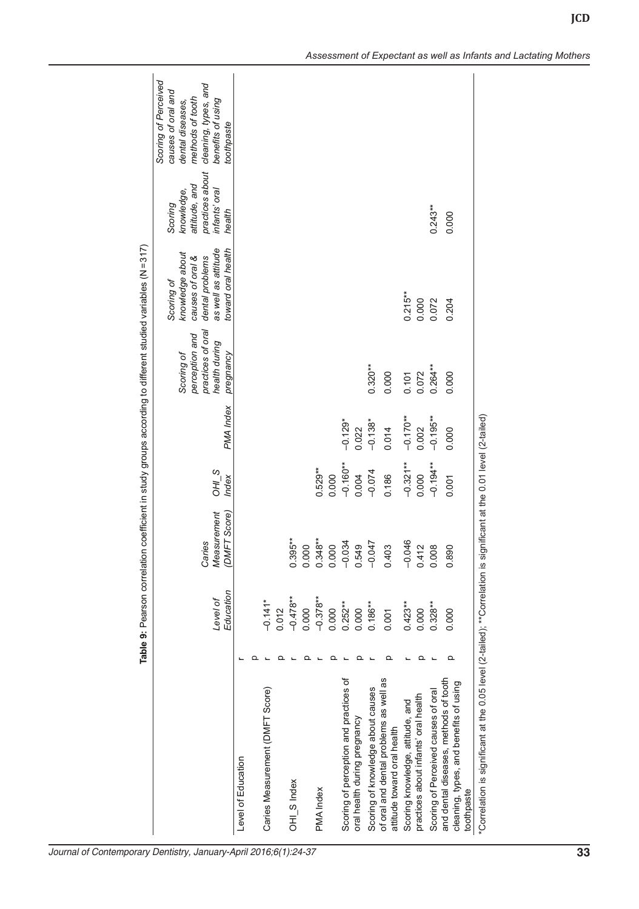|                                                                                               |                       |                                         |                  |             |                                                                                 | Table 9: Pearson correlation coefficient in study groups according to different studied variables (N=317)         |                                                                                      |                                                                                                                                               |
|-----------------------------------------------------------------------------------------------|-----------------------|-----------------------------------------|------------------|-------------|---------------------------------------------------------------------------------|-------------------------------------------------------------------------------------------------------------------|--------------------------------------------------------------------------------------|-----------------------------------------------------------------------------------------------------------------------------------------------|
|                                                                                               | Education<br>Level of | Measurement<br>(DMFT Score)<br>Caries   | $OH1$ S<br>Index | PMA Index   | practices of oral<br>perception and<br>health during<br>Scoring of<br>pregnancy | as well as attitude<br>toward oral health<br>knowledge about<br>causes of oral &<br>dental problems<br>Scoring of | practices about<br>attitude, and<br>infants' oral<br>knowledge,<br>Scoring<br>health | Scoring of Perceived<br>cleaning, types, and<br>causes of oral and<br>methods of tooth<br>benefits of using<br>dental diseases,<br>toothpaste |
| Level of Education                                                                            |                       |                                         |                  |             |                                                                                 |                                                                                                                   |                                                                                      |                                                                                                                                               |
|                                                                                               |                       |                                         |                  |             |                                                                                 |                                                                                                                   |                                                                                      |                                                                                                                                               |
| Caries Measurement (DMFT Score)                                                               | $-0.141*$             |                                         |                  |             |                                                                                 |                                                                                                                   |                                                                                      |                                                                                                                                               |
|                                                                                               | 0.012                 |                                         |                  |             |                                                                                 |                                                                                                                   |                                                                                      |                                                                                                                                               |
| OHI <sub>S</sub> Index                                                                        | $-0.478**$            | $0.395***$                              |                  |             |                                                                                 |                                                                                                                   |                                                                                      |                                                                                                                                               |
|                                                                                               | 0.000                 | 0.000                                   |                  |             |                                                                                 |                                                                                                                   |                                                                                      |                                                                                                                                               |
| PMA Index                                                                                     | $-0.378**$            | $0.348***$                              | $0.529**$        |             |                                                                                 |                                                                                                                   |                                                                                      |                                                                                                                                               |
|                                                                                               | 0.000                 | 0.000                                   | 0.000            |             |                                                                                 |                                                                                                                   |                                                                                      |                                                                                                                                               |
| Scoring of perception and practices of                                                        | $0.252***$            | $-0.034$                                | $-0.160**$       | $-0.129*$   |                                                                                 |                                                                                                                   |                                                                                      |                                                                                                                                               |
| oral health during pregnancy                                                                  | 0.000                 | 0.549                                   | 0.004            | 0.022       |                                                                                 |                                                                                                                   |                                                                                      |                                                                                                                                               |
| Scoring of knowledge about causes                                                             | $0.186***$            | $-0.047$                                | $-0.074$         | $-0.138*$   | $0.320***$                                                                      |                                                                                                                   |                                                                                      |                                                                                                                                               |
| of oral and dental problems as well as<br>attitude toward oral health                         | 0.001                 | SO1<br>$\frac{4}{4}$                    | 0.186            | 0.014       | 0.000                                                                           |                                                                                                                   |                                                                                      |                                                                                                                                               |
| Scoring knowledge, attitude, and                                                              | $0.423***$            | <b>9RO</b><br>ငှ                        | $-0.321***$      | $-0.170**$  | 0.101                                                                           | $0.215***$                                                                                                        |                                                                                      |                                                                                                                                               |
| practices about infants' oral health                                                          | 0.000                 | 0.412                                   | 0.000            | 0.002       | 0.072                                                                           | 0.000                                                                                                             |                                                                                      |                                                                                                                                               |
| Scoring of Perceived causes of oral                                                           | $0.328***$            | 0.008                                   | $-0.194**$       | $-0.195***$ | $0.264***$                                                                      | 0.072                                                                                                             | $0.243***$                                                                           |                                                                                                                                               |
| and dental diseases, methods of tooth<br>cleaning, types, and benefits of using<br>toothpaste | 0.000                 | 0.890                                   | 0.001            | 0.000       | 0.000                                                                           | 0.204                                                                                                             | 0.000                                                                                |                                                                                                                                               |
| "Correlation is significant at the 0.05 level (2-tailed); **Correlation is s                  |                       | ignificant at the 0.01 level (2-tailed) |                  |             |                                                                                 |                                                                                                                   |                                                                                      |                                                                                                                                               |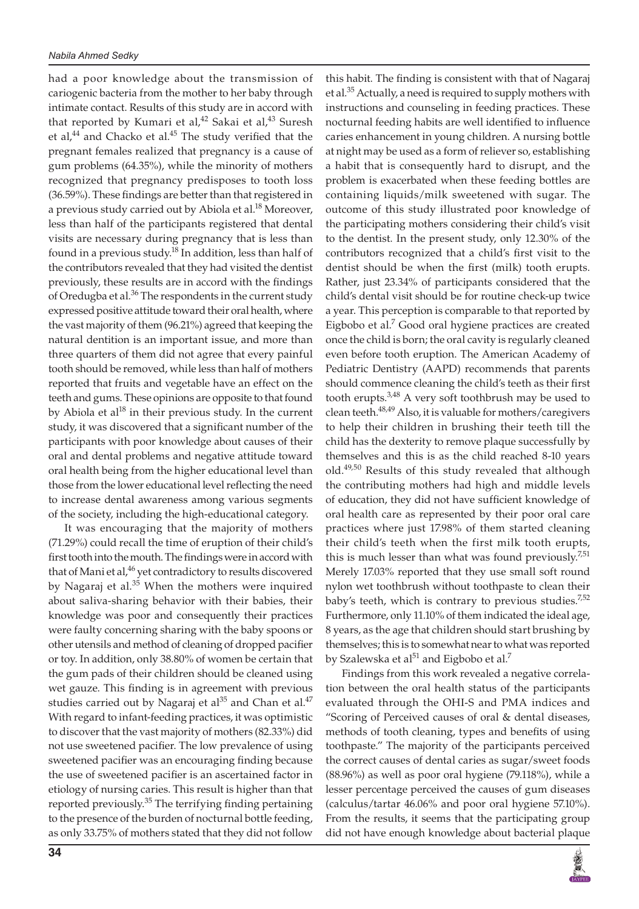had a poor knowledge about the transmission of cariogenic bacteria from the mother to her baby through intimate contact. Results of this study are in accord with that reported by Kumari et al,<sup>42</sup> Sakai et al,<sup>43</sup> Suresh et al, $^{44}$  and Chacko et al. $^{45}$  The study verified that the pregnant females realized that pregnancy is a cause of gum problems (64.35%), while the minority of mothers recognized that pregnancy predisposes to tooth loss (36.59%). These findings are better than that registered in a previous study carried out by Abiola et al.<sup>18</sup> Moreover, less than half of the participants registered that dental visits are necessary during pregnancy that is less than found in a previous study.<sup>18</sup> In addition, less than half of the contributors revealed that they had visited the dentist previously, these results are in accord with the findings of Oredugba et al.<sup>36</sup> The respondents in the current study expressed positive attitude toward their oral health, where the vast majority of them (96.21%) agreed that keeping the natural dentition is an important issue, and more than three quarters of them did not agree that every painful tooth should be removed, while less than half of mothers reported that fruits and vegetable have an effect on the teeth and gums. These opinions are opposite to that found by Abiola et  $al^{18}$  in their previous study. In the current study, it was discovered that a significant number of the participants with poor knowledge about causes of their oral and dental problems and negative attitude toward oral health being from the higher educational level than those from the lower educational level reflecting the need to increase dental awareness among various segments of the society, including the high-educational category.

It was encouraging that the majority of mothers (71.29%) could recall the time of eruption of their child's first tooth into the mouth. The findings were in accord with that of Mani et al,<sup>46</sup> yet contradictory to results discovered by Nagaraj et al.<sup>35</sup> When the mothers were inquired about saliva-sharing behavior with their babies, their knowledge was poor and consequently their practices were faulty concerning sharing with the baby spoons or other utensils and method of cleaning of dropped pacifier or toy. In addition, only 38.80% of women be certain that the gum pads of their children should be cleaned using wet gauze. This finding is in agreement with previous studies carried out by Nagaraj et  $al^{35}$  and Chan et al.<sup>47</sup> With regard to infant-feeding practices, it was optimistic to discover that the vast majority of mothers (82.33%) did not use sweetened pacifier. The low prevalence of using sweetened pacifier was an encouraging finding because the use of sweetened pacifier is an ascertained factor in etiology of nursing caries. This result is higher than that reported previously.<sup>35</sup> The terrifying finding pertaining to the presence of the burden of nocturnal bottle feeding, as only 33.75% of mothers stated that they did not follow

this habit. The finding is consistent with that of Nagaraj et al.<sup>35</sup> Actually, a need is required to supply mothers with instructions and counseling in feeding practices. These nocturnal feeding habits are well identified to influence caries enhancement in young children. A nursing bottle at night may be used as a form of reliever so, establishing a habit that is consequently hard to disrupt, and the problem is exacerbated when these feeding bottles are containing liquids/milk sweetened with sugar. The outcome of this study illustrated poor knowledge of the participating mothers considering their child's visit to the dentist. In the present study, only 12.30% of the contributors recognized that a child's first visit to the dentist should be when the first (milk) tooth erupts. Rather, just 23.34% of participants considered that the child's dental visit should be for routine check-up twice a year. This perception is comparable to that reported by Eigbobo et al.<sup>7</sup> Good oral hygiene practices are created once the child is born; the oral cavity is regularly cleaned even before tooth eruption. The American Academy of Pediatric Dentistry (AAPD) recommends that parents should commence cleaning the child's teeth as their first tooth erupts.<sup>3,48</sup> A very soft toothbrush may be used to clean teeth.<sup>48,49</sup> Also, it is valuable for mothers/caregivers to help their children in brushing their teeth till the child has the dexterity to remove plaque successfully by themselves and this is as the child reached 8-10 years old.<sup>49,50</sup> Results of this study revealed that although the contributing mothers had high and middle levels of education, they did not have sufficient knowledge of oral health care as represented by their poor oral care practices where just 17.98% of them started cleaning their child's teeth when the first milk tooth erupts, this is much lesser than what was found previously.<sup>7,51</sup> Merely 17.03% reported that they use small soft round nylon wet toothbrush without toothpaste to clean their baby's teeth, which is contrary to previous studies. $7,52$ Furthermore, only 11.10% of them indicated the ideal age, 8 years, as the age that children should start brushing by themselves; this is to somewhat near to what was reported by Szalewska et al $51$  and Eigbobo et al.<sup>7</sup>

Findings from this work revealed a negative correlation between the oral health status of the participants evaluated through the OHI-S and PMA indices and "Scoring of Perceived causes of oral & dental diseases, methods of tooth cleaning, types and benefits of using toothpaste." The majority of the participants perceived the correct causes of dental caries as sugar/sweet foods (88.96%) as well as poor oral hygiene (79.118%), while a lesser percentage perceived the causes of gum diseases (calculus/tartar 46.06% and poor oral hygiene 57.10%). From the results, it seems that the participating group did not have enough knowledge about bacterial plaque

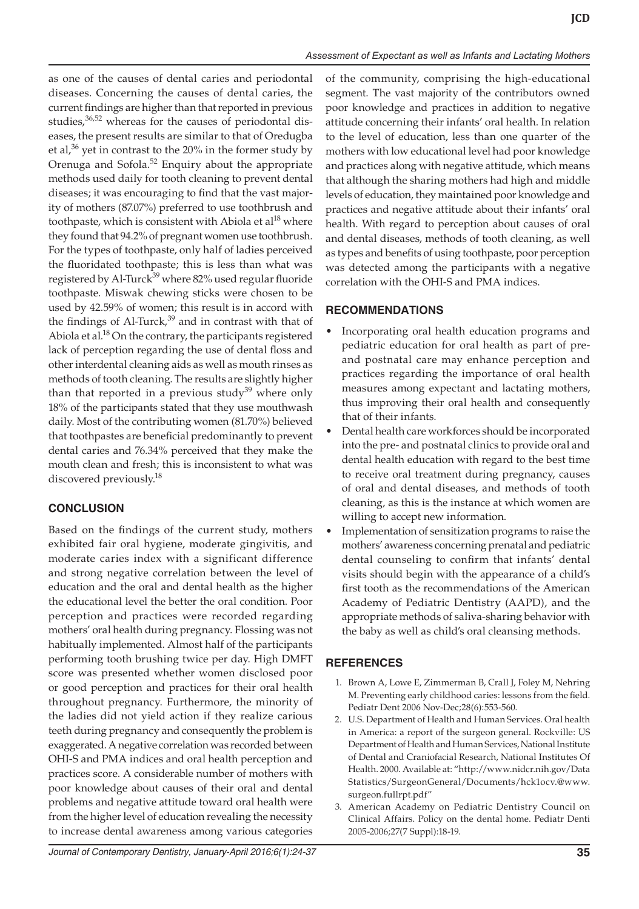as one of the causes of dental caries and periodontal diseases. Concerning the causes of dental caries, the current findings are higher than that reported in previous studies, $36,52$  whereas for the causes of periodontal diseases, the present results are similar to that of Oredugba et al,<sup>36</sup> yet in contrast to the 20% in the former study by Orenuga and Sofola.<sup>52</sup> Enquiry about the appropriate methods used daily for tooth cleaning to prevent dental diseases; it was encouraging to find that the vast majority of mothers (87.07%) preferred to use toothbrush and toothpaste, which is consistent with Abiola et al<sup>18</sup> where they found that 94.2% of pregnant women use toothbrush. For the types of toothpaste, only half of ladies perceived the fluoridated toothpaste; this is less than what was registered by Al-Turck<sup>39</sup> where 82% used regular fluoride toothpaste. Miswak chewing sticks were chosen to be used by 42.59% of women; this result is in accord with the findings of Al-Turck,<sup>39</sup> and in contrast with that of Abiola et al.<sup>18</sup> On the contrary, the participants registered lack of perception regarding the use of dental floss and other interdental cleaning aids as well as mouth rinses as methods of tooth cleaning. The results are slightly higher than that reported in a previous study $39$  where only 18% of the participants stated that they use mouthwash daily. Most of the contributing women (81.70%) believed that toothpastes are beneficial predominantly to prevent dental caries and 76.34% perceived that they make the mouth clean and fresh; this is inconsistent to what was discovered previously.<sup>18</sup>

## **CONCLUSION**

Based on the findings of the current study, mothers exhibited fair oral hygiene, moderate gingivitis, and moderate caries index with a significant difference and strong negative correlation between the level of education and the oral and dental health as the higher the educational level the better the oral condition. Poor perception and practices were recorded regarding mothers' oral health during pregnancy. Flossing was not habitually implemented. Almost half of the participants performing tooth brushing twice per day. High DMFT score was presented whether women disclosed poor or good perception and practices for their oral health throughout pregnancy. Furthermore, the minority of the ladies did not yield action if they realize carious teeth during pregnancy and consequently the problem is exaggerated. A negative correlation was recorded between OHI-S and PMA indices and oral health perception and practices score. A considerable number of mothers with poor knowledge about causes of their oral and dental problems and negative attitude toward oral health were from the higher level of education revealing the necessity to increase dental awareness among various categories

of the community, comprising the high-educational segment. The vast majority of the contributors owned poor knowledge and practices in addition to negative attitude concerning their infants' oral health. In relation to the level of education, less than one quarter of the mothers with low educational level had poor knowledge and practices along with negative attitude, which means that although the sharing mothers had high and middle levels of education, they maintained poor knowledge and practices and negative attitude about their infants' oral health. With regard to perception about causes of oral and dental diseases, methods of tooth cleaning, as well as types and benefits of using toothpaste, poor perception was detected among the participants with a negative correlation with the OHI-S and PMA indices.

#### **RECOMMENDATIONS**

- Incorporating oral health education programs and pediatric education for oral health as part of preand postnatal care may enhance perception and practices regarding the importance of oral health measures among expectant and lactating mothers, thus improving their oral health and consequently that of their infants.
- Dental health care workforces should be incorporated into the pre- and postnatal clinics to provide oral and dental health education with regard to the best time to receive oral treatment during pregnancy, causes of oral and dental diseases, and methods of tooth cleaning, as this is the instance at which women are willing to accept new information.
- Implementation of sensitization programs to raise the mothers' awareness concerning prenatal and pediatric dental counseling to confirm that infants' dental visits should begin with the appearance of a child's first tooth as the recommendations of the American Academy of Pediatric Dentistry (AAPD), and the appropriate methods of saliva-sharing behavior with the baby as well as child's oral cleansing methods.

## **REFERENCES**

- 1. Brown A, Lowe E, Zimmerman B, Crall J, Foley M, Nehring M. Preventing early childhood caries: lessons from the field. Pediatr Dent 2006 Nov-Dec;28(6):553-560.
- 2. U.S. Department of Health and Human Services. Oral health in America: a report of the surgeon general. Rockville: US Department of Health and Human Services, National Institute of Dental and Craniofacial Research, National Institutes Of Health. 2000. Available at: "http://www.nidcr.nih.gov/Data Statistics/SurgeonGeneral/Documents/hck1ocv.@www. surgeon.fullrpt.pdf"
- 3. American Academy on Pediatric Dentistry Council on Clinical Affairs. Policy on the dental home. Pediatr Denti 2005-2006;27(7 Suppl):18-19.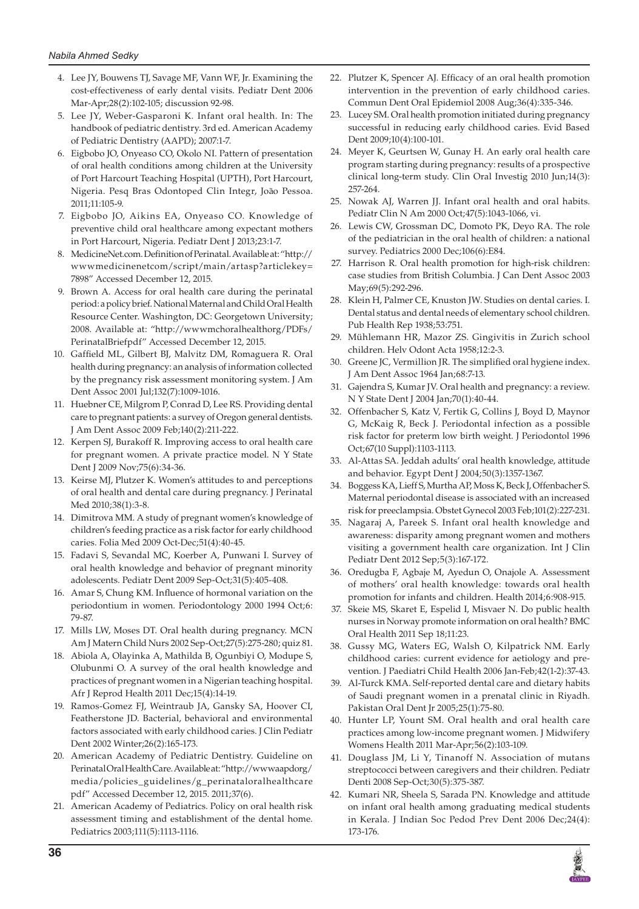- 4. Lee JY, Bouwens TJ, Savage MF, Vann WF, Jr. Examining the cost-effectiveness of early dental visits. Pediatr Dent 2006 Mar-Apr;28(2):102-105; discussion 92-98.
- 5. Lee JY, Weber-Gasparoni K. Infant oral health. In: The handbook of pediatric dentistry. 3rd ed. American Academy of Pediatric Dentistry (AAPD); 2007:1-7.
- 6. Eigbobo JO, Onyeaso CO, Okolo NI. Pattern of presentation of oral health conditions among children at the University of Port Harcourt Teaching Hospital (UPTH), Port Harcourt, Nigeria. Pesq Bras Odontoped Clin Integr, João Pessoa. 2011;11:105-9.
- 7. Eigbobo JO, Aikins EA, Onyeaso CO. Knowledge of preventive child oral healthcare among expectant mothers in Port Harcourt, Nigeria. Pediatr Dent J 2013;23:1-7.
- 8. MedicineNet.com. Definition of Perinatal. Available at: "http:// wwwmedicinenetcom/script/main/artasp?articlekey= 7898" Accessed December 12, 2015.
- 9. Brown A. Access for oral health care during the perinatal period: a policy brief. National Maternal and Child Oral Health Resource Center. Washington, DC: Georgetown University; 2008. Available at: "http://wwwmchoralhealthorg/PDFs/ PerinatalBriefpdf" Accessed December 12, 2015.
- 10. Gaffield ML, Gilbert BJ, Malvitz DM, Romaguera R. Oral health during pregnancy: an analysis of information collected by the pregnancy risk assessment monitoring system. J Am Dent Assoc 2001 Jul;132(7):1009-1016.
- 11. Huebner CE, Milgrom P, Conrad D, Lee RS. Providing dental care to pregnant patients: a survey of Oregon general dentists. J Am Dent Assoc 2009 Feb;140(2):211-222.
- 12. Kerpen SJ, Burakoff R. Improving access to oral health care for pregnant women. A private practice model. N Y State Dent J 2009 Nov;75(6):34-36.
- 13. Keirse MJ, Plutzer K. Women's attitudes to and perceptions of oral health and dental care during pregnancy. J Perinatal Med 2010;38(1):3-8.
- 14. Dimitrova MM. A study of pregnant women's knowledge of children's feeding practice as a risk factor for early childhood caries. Folia Med 2009 Oct-Dec;51(4):40-45.
- 15. Fadavi S, Sevandal MC, Koerber A, Punwani I. Survey of oral health knowledge and behavior of pregnant minority adolescents. Pediatr Dent 2009 Sep-Oct;31(5):405-408.
- 16. Amar S, Chung KM. Influence of hormonal variation on the periodontium in women. Periodontology 2000 1994 Oct;6: 79-87.
- 17. Mills LW, Moses DT. Oral health during pregnancy. MCN Am J Matern Child Nurs 2002 Sep-Oct;27(5):275-280; quiz 81.
- 18. Abiola A, Olayinka A, Mathilda B, Ogunbiyi O, Modupe S, Olubunmi O. A survey of the oral health knowledge and practices of pregnant women in a Nigerian teaching hospital. Afr J Reprod Health 2011 Dec;15(4):14-19.
- 19. Ramos-Gomez FJ, Weintraub JA, Gansky SA, Hoover CI, Featherstone JD. Bacterial, behavioral and environmental factors associated with early childhood caries. J Clin Pediatr Dent 2002 Winter;26(2):165-173.
- 20. American Academy of Pediatric Dentistry. Guideline on Perinatal Oral Health Care. Available at: "http://wwwaapdorg/ media/policies\_guidelines/g\_perinataloralhealthcare pdf" Accessed December 12, 2015. 2011;37(6).
- 21. American Academy of Pediatrics. Policy on oral health risk assessment timing and establishment of the dental home. Pediatrics 2003;111(5):1113-1116.
- 22. Plutzer K, Spencer AJ. Efficacy of an oral health promotion intervention in the prevention of early childhood caries. Commun Dent Oral Epidemiol 2008 Aug;36(4):335-346.
- 23. Lucey SM. Oral health promotion initiated during pregnancy successful in reducing early childhood caries. Evid Based Dent 2009;10(4):100-101.
- 24. Meyer K, Geurtsen W, Gunay H. An early oral health care program starting during pregnancy: results of a prospective clinical long-term study. Clin Oral Investig 2010 Jun;14(3): 257-264.
- 25. Nowak AJ, Warren JJ. Infant oral health and oral habits. Pediatr Clin N Am 2000 Oct;47(5):1043-1066, vi.
- 26. Lewis CW, Grossman DC, Domoto PK, Deyo RA. The role of the pediatrician in the oral health of children: a national survey. Pediatrics 2000 Dec;106(6):E84.
- 27. Harrison R. Oral health promotion for high-risk children: case studies from British Columbia. J Can Dent Assoc 2003 May;69(5):292-296.
- 28. Klein H, Palmer CE, Knuston JW. Studies on dental caries. I. Dental status and dental needs of elementary school children. Pub Health Rep 1938;53:751.
- 29. Mühlemann HR, Mazor ZS. Gingivitis in Zurich school children. Helv Odont Acta 1958;12:2-3.
- 30. Greene JC, Vermillion JR. The simplified oral hygiene index. J Am Dent Assoc 1964 Jan;68:7-13.
- 31. Gajendra S, Kumar JV. Oral health and pregnancy: a review. N Y State Dent J 2004 Jan;70(1):40-44.
- 32. Offenbacher S, Katz V, Fertik G, Collins J, Boyd D, Maynor G, McKaig R, Beck J. Periodontal infection as a possible risk factor for preterm low birth weight. J Periodontol 1996 Oct;67(10 Suppl):1103-1113.
- 33. Al-Attas SA. Jeddah adults' oral health knowledge, attitude and behavior. Egypt Dent J 2004;50(3):1357-1367.
- 34. Boggess KA, Lieff S, Murtha AP, Moss K, Beck J, Offenbacher S. Maternal periodontal disease is associated with an increased risk for preeclampsia. Obstet Gynecol 2003 Feb;101(2):227-231.
- 35. Nagaraj A, Pareek S. Infant oral health knowledge and awareness: disparity among pregnant women and mothers visiting a government health care organization. Int J Clin Pediatr Dent 2012 Sep;5(3):167-172.
- 36. Oredugba F, Agbaje M, Ayedun O, Onajole A. Assessment of mothers' oral health knowledge: towards oral health promotion for infants and children. Health 2014;6:908-915.
- 37. Skeie MS, Skaret E, Espelid I, Misvaer N. Do public health nurses in Norway promote information on oral health? BMC Oral Health 2011 Sep 18;11:23.
- 38. Gussy MG, Waters EG, Walsh O, Kilpatrick NM. Early childhood caries: current evidence for aetiology and prevention. J Paediatri Child Health 2006 Jan-Feb;42(1-2):37-43.
- 39. Al-Turck KMA. Self-reported dental care and dietary habits of Saudi pregnant women in a prenatal clinic in Riyadh. Pakistan Oral Dent Jr 2005;25(1):75-80.
- 40. Hunter LP, Yount SM. Oral health and oral health care practices among low-income pregnant women. J Midwifery Womens Health 2011 Mar-Apr;56(2):103-109.
- 41. Douglass JM, Li Y, Tinanoff N. Association of mutans streptococci between caregivers and their children. Pediatr Denti 2008 Sep-Oct;30(5):375-387.
- 42. Kumari NR, Sheela S, Sarada PN. Knowledge and attitude on infant oral health among graduating medical students in Kerala. J Indian Soc Pedod Prev Dent 2006 Dec;24(4): 173-176.